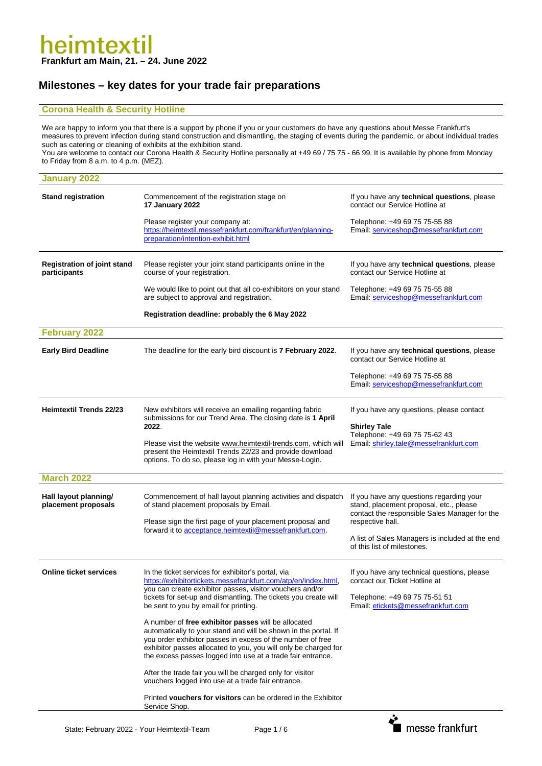#### **Milestones – key dates for your trade fair preparations**

#### **Corona Health & Security Hotline**

We are happy to inform you that there is a support by phone if you or your customers do have any questions about Messe Frankfurt's measures to prevent infection during stand construction and dismantling, the staging of events during the pandemic, or about individual trades such as catering or cleaning of exhibits at the exhibition stand.

You are welcome to contact our Corona Health & Security Hotline personally at +49 69 / 75 75 - 66 99. It is available by phone from Monday to Friday from 8 a.m. to 4 p.m. (MEZ).

| January 2022                                       |                                                                                                                                                                                                                                                                                                                        |                                                                                                                                      |
|----------------------------------------------------|------------------------------------------------------------------------------------------------------------------------------------------------------------------------------------------------------------------------------------------------------------------------------------------------------------------------|--------------------------------------------------------------------------------------------------------------------------------------|
| <b>Stand registration</b>                          | Commencement of the registration stage on<br>17 January 2022                                                                                                                                                                                                                                                           | If you have any technical questions, please<br>contact our Service Hotline at                                                        |
|                                                    | Please register your company at:<br>https://heimtextil.messefrankfurt.com/frankfurt/en/planning-<br>preparation/intention-exhibit.html                                                                                                                                                                                 | Telephone: +49 69 75 75-55 88<br>Email: serviceshop@messefrankfurt.com                                                               |
| <b>Registration of joint stand</b><br>participants | Please register your joint stand participants online in the<br>course of your registration.                                                                                                                                                                                                                            | If you have any technical questions, please<br>contact our Service Hotline at                                                        |
|                                                    | We would like to point out that all co-exhibitors on your stand<br>are subject to approval and registration.                                                                                                                                                                                                           | Telephone: +49 69 75 75-55 88<br>Email: serviceshop@messefrankfurt.com                                                               |
|                                                    | Registration deadline: probably the 6 May 2022                                                                                                                                                                                                                                                                         |                                                                                                                                      |
| <b>February 2022</b>                               |                                                                                                                                                                                                                                                                                                                        |                                                                                                                                      |
| <b>Early Bird Deadline</b>                         | The deadline for the early bird discount is 7 February 2022.                                                                                                                                                                                                                                                           | If you have any technical questions, please<br>contact our Service Hotline at                                                        |
|                                                    |                                                                                                                                                                                                                                                                                                                        | Telephone: +49 69 75 75-55 88<br>Email: serviceshop@messefrankfurt.com                                                               |
| <b>Heimtextil Trends 22/23</b>                     | New exhibitors will receive an emailing regarding fabric<br>submissions for our Trend Area. The closing date is 1 April<br>2022.                                                                                                                                                                                       | If you have any questions, please contact<br><b>Shirley Tale</b><br>Telephone: +49 69 75 75-62 43                                    |
|                                                    | Please visit the website www.heimtextil-trends.com, which will<br>present the Heimtextil Trends 22/23 and provide download<br>options. To do so, please log in with your Messe-Login.                                                                                                                                  | Email: shirley.tale@messefrankfurt.com                                                                                               |
| <b>March 2022</b>                                  |                                                                                                                                                                                                                                                                                                                        |                                                                                                                                      |
| Hall layout planning/<br>placement proposals       | Commencement of hall layout planning activities and dispatch<br>of stand placement proposals by Email.                                                                                                                                                                                                                 | If you have any questions regarding your<br>stand, placement proposal, etc., please<br>contact the responsible Sales Manager for the |
|                                                    | Please sign the first page of your placement proposal and<br>forward it to acceptance.heimtextil@messefrankfurt.com.                                                                                                                                                                                                   | respective hall.<br>A list of Sales Managers is included at the end<br>of this list of milestones.                                   |
| <b>Online ticket services</b>                      | In the ticket services for exhibitor's portal, via<br>https://exhibitortickets.messefrankfurt.com/atp/en/index.html,<br>you can create exhibitor passes, visitor vouchers and/or<br>tickets for set-up and dismantling. The tickets you create will<br>be sent to you by email for printing.                           | If you have any technical questions, please<br>contact our Ticket Hotline at                                                         |
|                                                    |                                                                                                                                                                                                                                                                                                                        | Telephone: +49 69 75 75-51 51<br>Email: etickets@messefrankfurt.com                                                                  |
|                                                    | A number of free exhibitor passes will be allocated<br>automatically to your stand and will be shown in the portal. If<br>you order exhibitor passes in excess of the number of free<br>exhibitor passes allocated to you, you will only be charged for<br>the excess passes logged into use at a trade fair entrance. |                                                                                                                                      |
|                                                    | After the trade fair you will be charged only for visitor<br>vouchers logged into use at a trade fair entrance.                                                                                                                                                                                                        |                                                                                                                                      |
|                                                    | Printed vouchers for visitors can be ordered in the Exhibitor<br>Service Shop.                                                                                                                                                                                                                                         |                                                                                                                                      |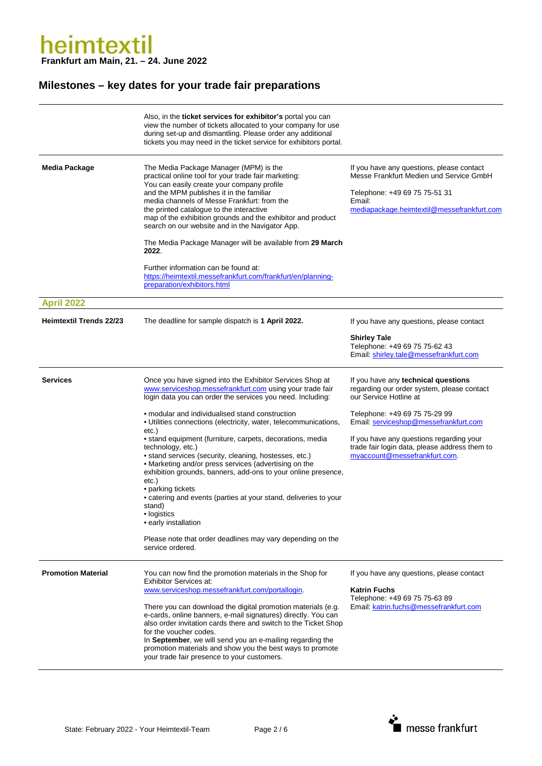|                                | Also, in the <b>ticket services for exhibitor's</b> portal you can<br>view the number of tickets allocated to your company for use<br>during set-up and dismantling. Please order any additional<br>tickets you may need in the ticket service for exhibitors portal.                                                                                                                                                                                                                                                                                                                                                                                                                                                                                                                                                         |                                                                                                                                                                                                                                                                                                                     |
|--------------------------------|-------------------------------------------------------------------------------------------------------------------------------------------------------------------------------------------------------------------------------------------------------------------------------------------------------------------------------------------------------------------------------------------------------------------------------------------------------------------------------------------------------------------------------------------------------------------------------------------------------------------------------------------------------------------------------------------------------------------------------------------------------------------------------------------------------------------------------|---------------------------------------------------------------------------------------------------------------------------------------------------------------------------------------------------------------------------------------------------------------------------------------------------------------------|
| <b>Media Package</b>           | The Media Package Manager (MPM) is the<br>practical online tool for your trade fair marketing:<br>You can easily create your company profile<br>and the MPM publishes it in the familiar<br>media channels of Messe Frankfurt: from the<br>the printed catalogue to the interactive<br>map of the exhibition grounds and the exhibitor and product<br>search on our website and in the Navigator App.<br>The Media Package Manager will be available from 29 March<br>2022.<br>Further information can be found at:<br>https://heimtextil.messefrankfurt.com/frankfurt/en/planning-<br>preparation/exhibitors.html                                                                                                                                                                                                            | If you have any questions, please contact<br>Messe Frankfurt Medien und Service GmbH<br>Telephone: +49 69 75 75-51 31<br>Email:<br>mediapackage.heimtextil@messefrankfurt.com                                                                                                                                       |
| <b>April 2022</b>              |                                                                                                                                                                                                                                                                                                                                                                                                                                                                                                                                                                                                                                                                                                                                                                                                                               |                                                                                                                                                                                                                                                                                                                     |
| <b>Heimtextil Trends 22/23</b> | The deadline for sample dispatch is 1 April 2022.                                                                                                                                                                                                                                                                                                                                                                                                                                                                                                                                                                                                                                                                                                                                                                             | If you have any questions, please contact<br><b>Shirley Tale</b><br>Telephone: +49 69 75 75-62 43<br>Email: shirley.tale@messefrankfurt.com                                                                                                                                                                         |
| <b>Services</b>                | Once you have signed into the Exhibitor Services Shop at<br>www.serviceshop.messefrankfurt.com using your trade fair<br>login data you can order the services you need. Including:<br>• modular and individualised stand construction<br>• Utilities connections (electricity, water, telecommunications,<br>etc.)<br>• stand equipment (furniture, carpets, decorations, media<br>technology, etc.)<br>• stand services (security, cleaning, hostesses, etc.)<br>• Marketing and/or press services (advertising on the<br>exhibition grounds, banners, add-ons to your online presence,<br>etc.)<br>• parking tickets<br>• catering and events (parties at your stand, deliveries to your<br>stand)<br>· logistics<br>• early installation<br>Please note that order deadlines may vary depending on the<br>service ordered. | If you have any technical questions<br>regarding our order system, please contact<br>our Service Hotline at<br>Telephone: +49 69 75 75-29 99<br>Email: serviceshop@messefrankfurt.com<br>If you have any questions regarding your<br>trade fair login data, please address them to<br>myaccount@messefrankfurt.com. |
| <b>Promotion Material</b>      | You can now find the promotion materials in the Shop for<br><b>Exhibitor Services at:</b><br>www.serviceshop.messefrankfurt.com/portallogin.<br>There you can download the digital promotion materials (e.g.<br>e-cards, online banners, e-mail signatures) directly. You can<br>also order invitation cards there and switch to the Ticket Shop<br>for the voucher codes.<br>In September, we will send you an e-mailing regarding the<br>promotion materials and show you the best ways to promote<br>your trade fair presence to your customers.                                                                                                                                                                                                                                                                           | If you have any questions, please contact<br><b>Katrin Fuchs</b><br>Telephone: +49 69 75 75-63 89<br>Email. katrin.fuchs@messefrankfurt.com                                                                                                                                                                         |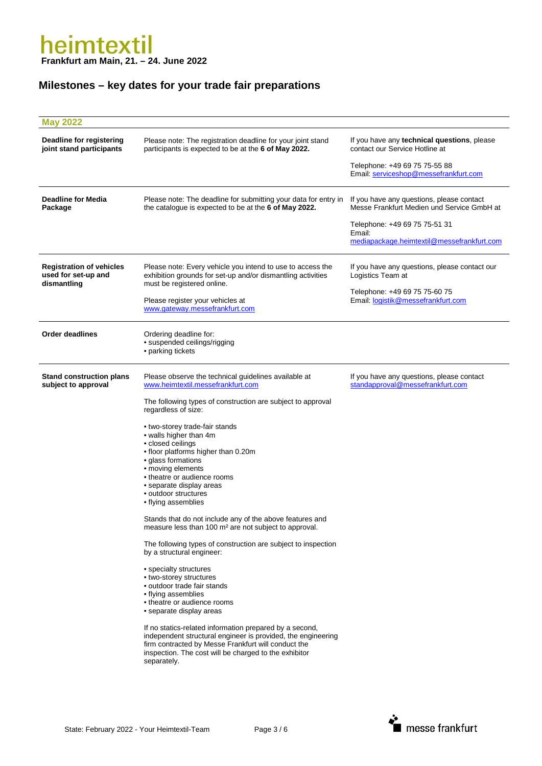| <b>May 2022</b>                                                       |                                                                                                                                                                                                                                                                                                                                                                                                                                                                                                                                                                                                                                                                                                                                                                                                                                                                                                                                                                                                                                                                                                                             |                                                                                                                                                                                  |
|-----------------------------------------------------------------------|-----------------------------------------------------------------------------------------------------------------------------------------------------------------------------------------------------------------------------------------------------------------------------------------------------------------------------------------------------------------------------------------------------------------------------------------------------------------------------------------------------------------------------------------------------------------------------------------------------------------------------------------------------------------------------------------------------------------------------------------------------------------------------------------------------------------------------------------------------------------------------------------------------------------------------------------------------------------------------------------------------------------------------------------------------------------------------------------------------------------------------|----------------------------------------------------------------------------------------------------------------------------------------------------------------------------------|
| Deadline for registering<br>joint stand participants                  | Please note: The registration deadline for your joint stand<br>participants is expected to be at the 6 of May 2022.                                                                                                                                                                                                                                                                                                                                                                                                                                                                                                                                                                                                                                                                                                                                                                                                                                                                                                                                                                                                         | If you have any technical questions, please<br>contact our Service Hotline at<br>Telephone: +49 69 75 75-55 88<br>Email: serviceshop@messefrankfurt.com                          |
| <b>Deadline for Media</b><br>Package                                  | Please note: The deadline for submitting your data for entry in<br>the catalogue is expected to be at the 6 of May 2022.                                                                                                                                                                                                                                                                                                                                                                                                                                                                                                                                                                                                                                                                                                                                                                                                                                                                                                                                                                                                    | If you have any questions, please contact<br>Messe Frankfurt Medien und Service GmbH at<br>Telephone: +49 69 75 75-51 31<br>Email:<br>mediapackage.heimtextil@messefrankfurt.com |
| <b>Registration of vehicles</b><br>used for set-up and<br>dismantling | Please note: Every vehicle you intend to use to access the<br>exhibition grounds for set-up and/or dismantling activities<br>must be registered online.<br>Please register your vehicles at<br>www.gateway.messefrankfurt.com                                                                                                                                                                                                                                                                                                                                                                                                                                                                                                                                                                                                                                                                                                                                                                                                                                                                                               | If you have any questions, please contact our<br>Logistics Team at<br>Telephone: +49 69 75 75-60 75<br>Email: logistik@messefrankfurt.com                                        |
| <b>Order deadlines</b>                                                | Ordering deadline for:<br>· suspended ceilings/rigging<br>• parking tickets                                                                                                                                                                                                                                                                                                                                                                                                                                                                                                                                                                                                                                                                                                                                                                                                                                                                                                                                                                                                                                                 |                                                                                                                                                                                  |
| <b>Stand construction plans</b><br>subject to approval                | Please observe the technical guidelines available at<br>www.heimtextil.messefrankfurt.com<br>The following types of construction are subject to approval<br>regardless of size:<br>• two-storey trade-fair stands<br>• walls higher than 4m<br>• closed ceilings<br>• floor platforms higher than 0.20m<br>· glass formations<br>• moving elements<br>• theatre or audience rooms<br>• separate display areas<br>• outdoor structures<br>• flying assemblies<br>Stands that do not include any of the above features and<br>measure less than 100 m <sup>2</sup> are not subject to approval.<br>The following types of construction are subject to inspection<br>by a structural engineer:<br>• specialty structures<br>• two-storey structures<br>• outdoor trade fair stands<br>• flying assemblies<br>• theatre or audience rooms<br>• separate display areas<br>If no statics-related information prepared by a second,<br>independent structural engineer is provided, the engineering<br>firm contracted by Messe Frankfurt will conduct the<br>inspection. The cost will be charged to the exhibitor<br>separately. | If you have any questions, please contact<br>standapproval@messefrankfurt.com                                                                                                    |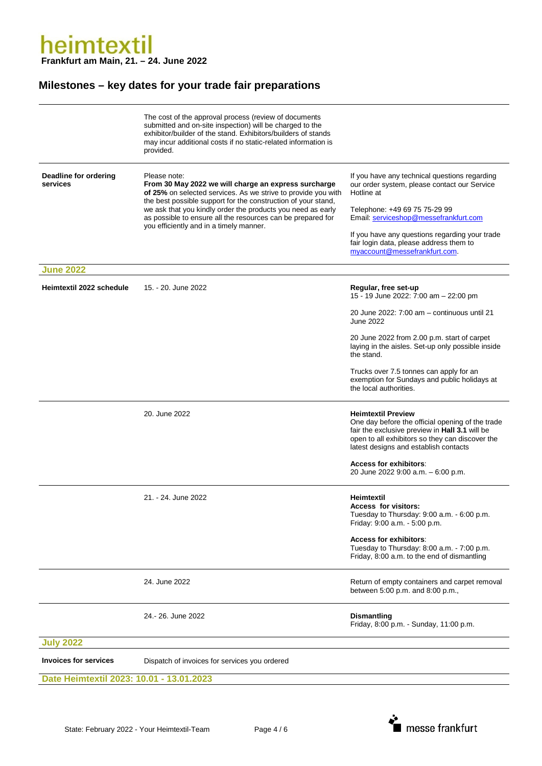|                                                                               | The cost of the approval process (review of documents<br>submitted and on-site inspection) will be charged to the<br>exhibitor/builder of the stand. Exhibitors/builders of stands<br>may incur additional costs if no static-related information is<br>provided.                                                                                                               |                                                                                                                                                                                                                                                                                                                     |
|-------------------------------------------------------------------------------|---------------------------------------------------------------------------------------------------------------------------------------------------------------------------------------------------------------------------------------------------------------------------------------------------------------------------------------------------------------------------------|---------------------------------------------------------------------------------------------------------------------------------------------------------------------------------------------------------------------------------------------------------------------------------------------------------------------|
| Deadline for ordering<br>services                                             | Please note:<br>From 30 May 2022 we will charge an express surcharge<br>of 25% on selected services. As we strive to provide you with<br>the best possible support for the construction of your stand,<br>we ask that you kindly order the products you need as early<br>as possible to ensure all the resources can be prepared for<br>you efficiently and in a timely manner. | If you have any technical questions regarding<br>our order system, please contact our Service<br>Hotline at<br>Telephone: +49 69 75 75-29 99<br>Email: serviceshop@messefrankfurt.com<br>If you have any questions regarding your trade<br>fair login data, please address them to<br>myaccount@messefrankfurt.com. |
| <b>June 2022</b>                                                              |                                                                                                                                                                                                                                                                                                                                                                                 |                                                                                                                                                                                                                                                                                                                     |
| Heimtextil 2022 schedule                                                      | 15. - 20. June 2022                                                                                                                                                                                                                                                                                                                                                             | Regular, free set-up<br>15 - 19 June 2022: 7:00 am - 22:00 pm<br>20 June 2022: 7:00 am - continuous until 21<br>June 2022<br>20 June 2022 from 2.00 p.m. start of carpet<br>laying in the aisles. Set-up only possible inside<br>the stand.<br>Trucks over 7.5 tonnes can apply for an                              |
|                                                                               | 20. June 2022                                                                                                                                                                                                                                                                                                                                                                   | exemption for Sundays and public holidays at<br>the local authorities.<br><b>Heimtextil Preview</b><br>One day before the official opening of the trade<br>fair the exclusive preview in Hall 3.1 will be<br>open to all exhibitors so they can discover the<br>latest designs and establish contacts               |
|                                                                               |                                                                                                                                                                                                                                                                                                                                                                                 | <b>Access for exhibitors:</b><br>20 June 2022 9:00 a.m. - 6:00 p.m.                                                                                                                                                                                                                                                 |
|                                                                               | 21. - 24. June 2022                                                                                                                                                                                                                                                                                                                                                             | Heimtextil<br>Access for visitors:<br>Tuesday to Thursday: 9:00 a.m. - 6:00 p.m.<br>Friday: 9:00 a.m. - 5:00 p.m.<br><b>Access for exhibitors:</b><br>Tuesday to Thursday: 8:00 a.m. - 7:00 p.m.<br>Friday, 8:00 a.m. to the end of dismantling                                                                     |
|                                                                               | 24. June 2022                                                                                                                                                                                                                                                                                                                                                                   | Return of empty containers and carpet removal<br>between 5:00 p.m. and 8:00 p.m.,                                                                                                                                                                                                                                   |
|                                                                               | 24.-26. June 2022                                                                                                                                                                                                                                                                                                                                                               | <b>Dismantling</b><br>Friday, 8:00 p.m. - Sunday, 11:00 p.m.                                                                                                                                                                                                                                                        |
| <b>July 2022</b>                                                              |                                                                                                                                                                                                                                                                                                                                                                                 |                                                                                                                                                                                                                                                                                                                     |
| <b>Invoices for services</b><br>Dispatch of invoices for services you ordered |                                                                                                                                                                                                                                                                                                                                                                                 |                                                                                                                                                                                                                                                                                                                     |
| Date Heimtextil 2023: 10.01 - 13.01.2023                                      |                                                                                                                                                                                                                                                                                                                                                                                 |                                                                                                                                                                                                                                                                                                                     |

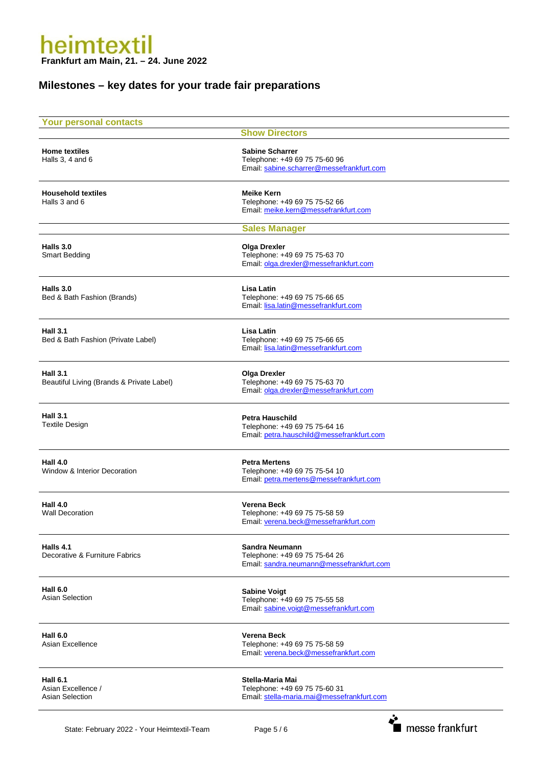| <b>Your personal contacts</b>                                   | <b>Show Directors</b>                                                                                |
|-----------------------------------------------------------------|------------------------------------------------------------------------------------------------------|
| <b>Home textiles</b><br>Halls 3, 4 and 6                        | <b>Sabine Scharrer</b><br>Telephone: +49 69 75 75-60 96<br>Email: sabine.scharrer@messefrankfurt.com |
| <b>Household textiles</b><br>Halls 3 and 6                      | <b>Meike Kern</b><br>Telephone: +49 69 75 75-52 66<br>Email: meike.kern@messefrankfurt.com           |
|                                                                 | <b>Sales Manager</b>                                                                                 |
| Halls 3.0<br><b>Smart Bedding</b>                               | <b>Olga Drexler</b><br>Telephone: +49 69 75 75-63 70<br>Email: olga.drexler@messefrankfurt.com       |
| Halls 3.0<br>Bed & Bath Fashion (Brands)                        | Lisa Latin<br>Telephone: +49 69 75 75-66 65<br>Email: lisa.latin@messefrankfurt.com                  |
| <b>Hall 3.1</b><br>Bed & Bath Fashion (Private Label)           | Lisa Latin<br>Telephone: +49 69 75 75-66 65<br>Email: lisa.latin@messefrankfurt.com                  |
| <b>Hall 3.1</b><br>Beautiful Living (Brands & Private Label)    | <b>Olga Drexler</b><br>Telephone: +49 69 75 75-63 70<br>Email: olga.drexler@messefrankfurt.com       |
| <b>Hall 3.1</b><br><b>Textile Design</b>                        | <b>Petra Hauschild</b><br>Telephone: +49 69 75 75-64 16<br>Email: petra.hauschild@messefrankfurt.com |
| <b>Hall 4.0</b><br>Window & Interior Decoration                 | <b>Petra Mertens</b><br>Telephone: +49 69 75 75-54 10<br>Email: petra.mertens@messefrankfurt.com     |
| <b>Hall 4.0</b><br><b>Wall Decoration</b>                       | Verena Beck<br>Telephone: +49 69 75 75-58 59<br>Email: verena.beck@messefrankfurt.com                |
| Halls 4.1<br>Decorative & Furniture Fabrics                     | Sandra Neumann<br>Telephone: +49 69 75 75-64 26<br>Email: sandra.neumann@messefrankfurt.com          |
| <b>Hall 6.0</b><br><b>Asian Selection</b>                       | <b>Sabine Voigt</b><br>Telephone: +49 69 75 75-55 58<br>Email: sabine.voigt@messefrankfurt.com       |
| <b>Hall 6.0</b><br>Asian Excellence                             | <b>Verena Beck</b><br>Telephone: +49 69 75 75-58 59<br>Email: verena.beck@messefrankfurt.com         |
| <b>Hall 6.1</b><br>Asian Excellence /<br><b>Asian Selection</b> | Stella-Maria Mai<br>Telephone: +49 69 75 75-60 31<br>Email: stella-maria.mai@messefrankfurt.com      |
|                                                                 | ∻                                                                                                    |